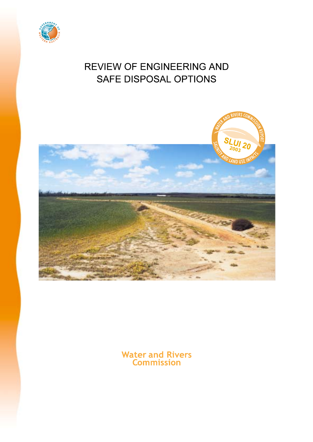

## **REVIEW OF ENGINEERING AND** SAFE DISPOSAL OPTIONS



**Water and Rivers<br>Commission**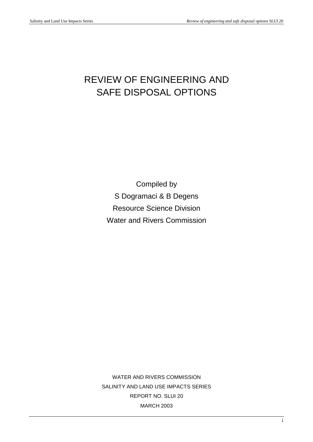## REVIEW OF ENGINEERING AND SAFE DISPOSAL OPTIONS

Compiled by S Dogramaci & B Degens Resource Science Division Water and Rivers Commission

WATER AND RIVERS COMMISSION SALINITY AND LAND USE IMPACTS SERIES REPORT NO. SLUI 20 MARCH 2003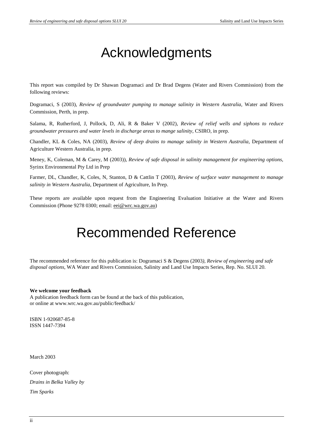## Acknowledgments

This report was compiled by Dr Shawan Dogramaci and Dr Brad Degens (Water and Rivers Commission) from the following reviews:

Dogramaci, S (2003), *Review of groundwater pumping to manage salinity in Western Australia,* Water and Rivers Commission, Perth, in prep.

Salama, R, Rutherford, J, Pollock, D, Ali, R & Baker V (2002), *Review of relief wells and siphons to reduce groundwater pressures and water levels in discharge areas to mange salinity*, CSIRO, in prep.

Chandler, KL & Coles, NA (2003), *Review of deep drains to manage salinity in Western Australia*, Department of Agriculture Western Australia, in prep.

Meney, K, Coleman, M & Carey, M (2003)), *Review of safe disposal in salinity management for engineering options*, Syrinx Environmental Pty Ltd in Prep

Farmer, DL, Chandler, K, Coles, N, Stanton, D & Cattlin T (2003), *Review of* s*urface water management to manage salinity in Western Australia*, Department of Agriculture, In Prep.

These reports are available upon request from the Engineering Evaluation Initiative at the Water and Rivers Commission (Phone 9278 0300; email: eei@wrc.wa.gov.au)

## Recommended Reference

The recommended reference for this publication is: Dogramaci S & Degens (2003*), Review of engineering and safe disposal options*, WA Water and Rivers Commission, Salinity and Land Use Impacts Series, Rep. No. SLUI 20.

#### **We welcome your feedback**

A publication feedback form can be found at the back of this publication, or online at www.wrc.wa.gov.au/public/feedback/

ISBN 1-920687-85-8 ISSN 1447-7394

March 2003

Cover photograph: *Drains in Belka Valley by Tim Sparks*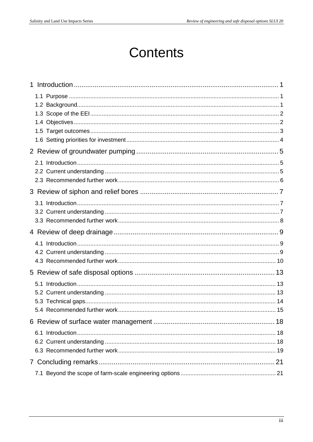## **Contents**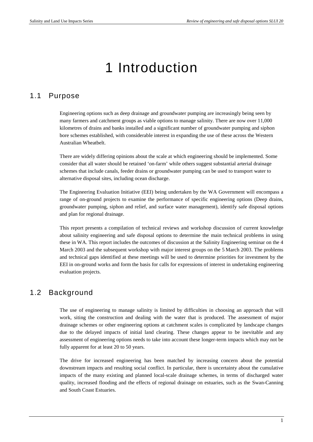# 1 Introduction

#### 1.1 Purpose

Engineering options such as deep drainage and groundwater pumping are increasingly being seen by many farmers and catchment groups as viable options to manage salinity. There are now over 11,000 kilometres of drains and banks installed and a significant number of groundwater pumping and siphon bore schemes established, with considerable interest in expanding the use of these across the Western Australian Wheatbelt.

There are widely differing opinions about the scale at which engineering should be implemented. Some consider that all water should be retained 'on-farm' while others suggest substantial arterial drainage schemes that include canals, feeder drains or groundwater pumping can be used to transport water to alternative disposal sites, including ocean discharge.

The Engineering Evaluation Initiative (EEI) being undertaken by the WA Government will encompass a range of on-ground projects to examine the performance of specific engineering options (Deep drains, groundwater pumping, siphon and relief, and surface water management), identify safe disposal options and plan for regional drainage.

This report presents a compilation of technical reviews and workshop discussion of current knowledge about salinity engineering and safe disposal options to determine the main technical problems in using these in WA. This report includes the outcomes of discussion at the Salinity Engineering seminar on the 4 March 2003 and the subsequent workshop with major interest groups on the 5 March 2003. The problems and technical gaps identified at these meetings will be used to determine priorities for investment by the EEI in on-ground works and form the basis for calls for expressions of interest in undertaking engineering evaluation projects.

#### 1.2 Background

The use of engineering to manage salinity is limited by difficulties in choosing an approach that will work, siting the construction and dealing with the water that is produced. The assessment of major drainage schemes or other engineering options at catchment scales is complicated by landscape changes due to the delayed impacts of initial land clearing. These changes appear to be inevitable and any assessment of engineering options needs to take into account these longer-term impacts which may not be fully apparent for at least 20 to 50 years.

The drive for increased engineering has been matched by increasing concern about the potential downstream impacts and resulting social conflict. In particular, there is uncertainty about the cumulative impacts of the many existing and planned local-scale drainage schemes, in terms of discharged water quality, increased flooding and the effects of regional drainage on estuaries, such as the Swan-Canning and South Coast Estuaries.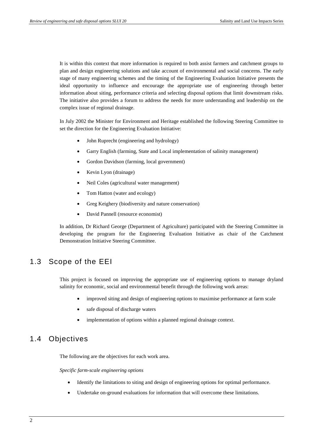It is within this context that more information is required to both assist farmers and catchment groups to plan and design engineering solutions and take account of environmental and social concerns. The early stage of many engineering schemes and the timing of the Engineering Evaluation Initiative presents the ideal opportunity to influence and encourage the appropriate use of engineering through better information about siting, performance criteria and selecting disposal options that limit downstream risks. The initiative also provides a forum to address the needs for more understanding and leadership on the complex issue of regional drainage.

In July 2002 the Minister for Environment and Heritage established the following Steering Committee to set the direction for the Engineering Evaluation Initiative:

- John Ruprecht (engineering and hydrology)
- Garry English (farming, State and Local implementation of salinity management)
- Gordon Davidson (farming, local government)
- Kevin Lyon (drainage)
- Neil Coles (agricultural water management)
- Tom Hatton (water and ecology)
- Greg Keighery (biodiversity and nature conservation)
- David Pannell (resource economist)

In addition, Dr Richard George (Department of Agriculture) participated with the Steering Committee in developing the program for the Engineering Evaluation Initiative as chair of the Catchment Demonstration Initiative Steering Committee.

#### 1.3 Scope of the EEI

This project is focused on improving the appropriate use of engineering options to manage dryland salinity for economic, social and environmental benefit through the following work areas:

- improved siting and design of engineering options to maximise performance at farm scale
- safe disposal of discharge waters
- implementation of options within a planned regional drainage context.

### 1.4 Objectives

The following are the objectives for each work area.

*Specific farm-scale engineering options*

- Identify the limitations to siting and design of engineering options for optimal performance.
- Undertake on-ground evaluations for information that will overcome these limitations.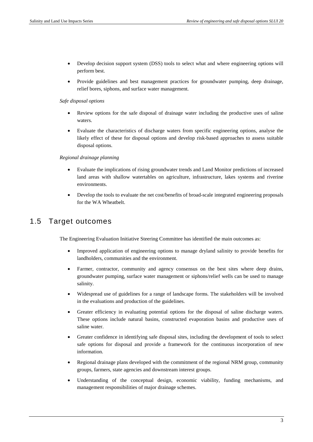- Develop decision support system (DSS) tools to select what and where engineering options will perform best.
- Provide guidelines and best management practices for groundwater pumping, deep drainage, relief bores, siphons, and surface water management.

#### *Safe disposal options*

- Review options for the safe disposal of drainage water including the productive uses of saline waters.
- Evaluate the characteristics of discharge waters from specific engineering options, analyse the likely effect of these for disposal options and develop risk-based approaches to assess suitable disposal options.

#### *Regional drainage planning*

- Evaluate the implications of rising groundwater trends and Land Monitor predictions of increased land areas with shallow watertables on agriculture, infrastructure, lakes systems and riverine environments.
- Develop the tools to evaluate the net cost/benefits of broad-scale integrated engineering proposals for the WA Wheatbelt.

#### 1.5 Target outcomes

The Engineering Evaluation Initiative Steering Committee has identified the main outcomes as:

- Improved application of engineering options to manage dryland salinity to provide benefits for landholders, communities and the environment.
- Farmer, contractor, community and agency consensus on the best sites where deep drains, groundwater pumping, surface water management or siphons/relief wells can be used to manage salinity.
- Widespread use of guidelines for a range of landscape forms. The stakeholders will be involved in the evaluations and production of the guidelines.
- Greater efficiency in evaluating potential options for the disposal of saline discharge waters. These options include natural basins, constructed evaporation basins and productive uses of saline water.
- Greater confidence in identifying safe disposal sites, including the development of tools to select safe options for disposal and provide a framework for the continuous incorporation of new information.
- Regional drainage plans developed with the commitment of the regional NRM group, community groups, farmers, state agencies and downstream interest groups.
- Understanding of the conceptual design, economic viability, funding mechanisms, and management responsibilities of major drainage schemes.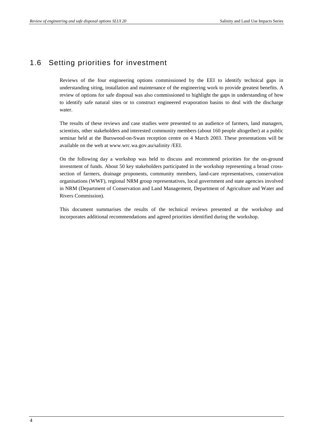### 1.6 Setting priorities for investment

Reviews of the four engineering options commissioned by the EEI to identify technical gaps in understanding siting, installation and maintenance of the engineering work to provide greatest benefits. A review of options for safe disposal was also commissioned to highlight the gaps in understanding of how to identify safe natural sites or to construct engineered evaporation basins to deal with the discharge water.

The results of these reviews and case studies were presented to an audience of farmers, land managers, scientists, other stakeholders and interested community members (about 160 people altogether) at a public seminar held at the Burswood-on-Swan reception centre on 4 March 2003. These presentations will be available on the web at www.wrc.wa.gov.au/salinity /EEI.

On the following day a workshop was held to discuss and recommend priorities for the on-ground investment of funds. About 50 key stakeholders participated in the workshop representing a broad crosssection of farmers, drainage proponents, community members, land-care representatives, conservation organisations (WWF), regional NRM group representatives, local government and state agencies involved in NRM (Department of Conservation and Land Management, Department of Agriculture and Water and Rivers Commission).

This document summarises the results of the technical reviews presented at the workshop and incorporates additional recommendations and agreed priorities identified during the workshop.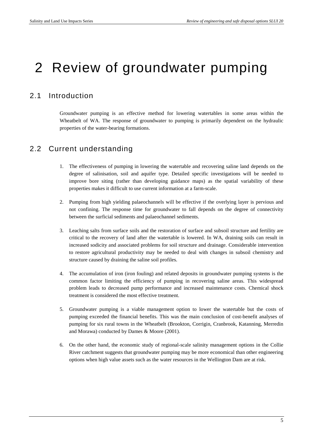## 2 Review of groundwater pumping

### 2.1 Introduction

Groundwater pumping is an effective method for lowering watertables in some areas within the Wheatbelt of WA. The response of groundwater to pumping is primarily dependent on the hydraulic properties of the water-bearing formations.

### 2.2 Current understanding

- 1. The effectiveness of pumping in lowering the watertable and recovering saline land depends on the degree of salinisation, soil and aquifer type. Detailed specific investigations will be needed to improve bore siting (rather than developing guidance maps) as the spatial variability of these properties makes it difficult to use current information at a farm-scale.
- 2. Pumping from high yielding palaeochannels will be effective if the overlying layer is pervious and not confining. The response time for groundwater to fall depends on the degree of connectivity between the surficial sediments and palaeochannel sediments.
- 3. Leaching salts from surface soils and the restoration of surface and subsoil structure and fertility are critical to the recovery of land after the watertable is lowered. In WA, draining soils can result in increased sodicity and associated problems for soil structure and drainage. Considerable intervention to restore agricultural productivity may be needed to deal with changes in subsoil chemistry and structure caused by draining the saline soil profiles.
- 4. The accumulation of iron (iron fouling) and related deposits in groundwater pumping systems is the common factor limiting the efficiency of pumping in recovering saline areas. This widespread problem leads to decreased pump performance and increased maintenance costs. Chemical shock treatment is considered the most effective treatment.
- 5. Groundwater pumping is a viable management option to lower the watertable but the costs of pumping exceeded the financial benefits. This was the main conclusion of cost-benefit analyses of pumping for six rural towns in the Wheatbelt (Brookton, Corrigin, Cranbrook, Katanning, Merredin and Morawa) conducted by Dames & Moore (2001).
- 6. On the other hand, the economic study of regional-scale salinity management options in the Collie River catchment suggests that groundwater pumping may be more economical than other engineering options when high value assets such as the water resources in the Wellington Dam are at risk.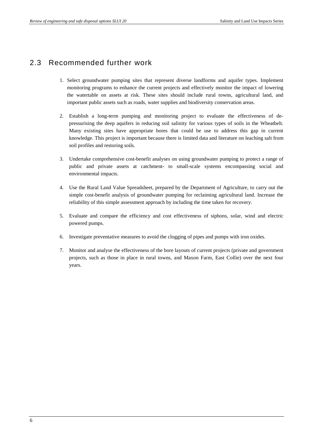### 2.3 Recommended further work

- 1. Select groundwater pumping sites that represent diverse landforms and aquifer types. Implement monitoring programs to enhance the current projects and effectively monitor the impact of lowering the watertable on assets at risk. These sites should include rural towns, agricultural land, and important public assets such as roads, water supplies and biodiversity conservation areas.
- 2. Establish a long-term pumping and monitoring project to evaluate the effectiveness of depressurising the deep aquifers in reducing soil salinity for various types of soils in the Wheatbelt. Many existing sites have appropriate bores that could be use to address this gap in current knowledge. This project is important because there is limited data and literature on leaching salt from soil profiles and restoring soils.
- 3. Undertake comprehensive cost-benefit analyses on using groundwater pumping to protect a range of public and private assets at catchment- to small-scale systems encompassing social and environmental impacts.
- 4. Use the Rural Land Value Spreadsheet, prepared by the Department of Agriculture, to carry out the simple cost-benefit analysis of groundwater pumping for reclaiming agricultural land. Increase the reliability of this simple assessment approach by including the time taken for recovery.
- 5. Evaluate and compare the efficiency and cost effectiveness of siphons, solar, wind and electric powered pumps.
- 6. Investigate preventative measures to avoid the clogging of pipes and pumps with iron oxides.
- 7. Monitor and analyse the effectiveness of the bore layouts of current projects (private and government projects, such as those in place in rural towns, and Maxon Farm, East Collie) over the next four years.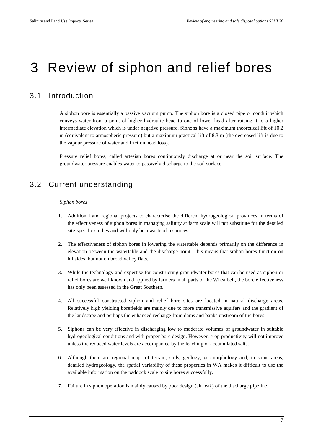## 3 Review of siphon and relief bores

## 3.1 Introduction

A siphon bore is essentially a passive vacuum pump. The siphon bore is a closed pipe or conduit which conveys water from a point of higher hydraulic head to one of lower head after raising it to a higher intermediate elevation which is under negative pressure. Siphons have a maximum theoretical lift of 10.2 m (equivalent to atmospheric pressure) but a maximum practical lift of 8.3 m (the decreased lift is due to the vapour pressure of water and friction head loss).

Pressure relief bores, called artesian bores continuously discharge at or near the soil surface. The groundwater pressure enables water to passively discharge to the soil surface.

## 3.2 Current understanding

#### *Siphon bores*

- 1. Additional and regional projects to characterise the different hydrogeological provinces in terms of the effectiveness of siphon bores in managing salinity at farm scale will not substitute for the detailed site-specific studies and will only be a waste of resources.
- 2. The effectiveness of siphon bores in lowering the watertable depends primarily on the difference in elevation between the watertable and the discharge point. This means that siphon bores function on hillsides, but not on broad valley flats.
- 3. While the technology and expertise for constructing groundwater bores that can be used as siphon or relief bores are well known and applied by farmers in all parts of the Wheatbelt, the bore effectiveness has only been assessed in the Great Southern.
- 4. All successful constructed siphon and relief bore sites are located in natural discharge areas. Relatively high yielding borefields are mainly due to more transmissive aquifers and the gradient of the landscape and perhaps the enhanced recharge from dams and banks upstream of the bores.
- 5. Siphons can be very effective in discharging low to moderate volumes of groundwater in suitable hydrogeological conditions and with proper bore design. However, crop productivity will not improve unless the reduced water levels are accompanied by the leaching of accumulated salts.
- 6. Although there are regional maps of terrain, soils, geology, geomorphology and, in some areas, detailed hydrogeology, the spatial variability of these properties in WA makes it difficult to use the available information on the paddock scale to site bores successfully.
- *7.* Failure in siphon operation is mainly caused by poor design (air leak) of the discharge pipeline.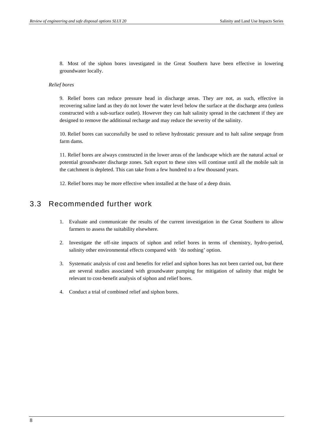8. Most of the siphon bores investigated in the Great Southern have been effective in lowering groundwater locally.

#### *Relief bores*

9. Relief bores can reduce pressure head in discharge areas. They are not, as such, effective in recovering saline land as they do not lower the water level below the surface at the discharge area (unless constructed with a sub-surface outlet). However they can halt salinity spread in the catchment if they are designed to remove the additional recharge and may reduce the severity of the salinity.

10. Relief bores can successfully be used to relieve hydrostatic pressure and to halt saline seepage from farm dams.

11. Relief bores are always constructed in the lower areas of the landscape which are the natural actual or potential groundwater discharge zones. Salt export to these sites will continue until all the mobile salt in the catchment is depleted. This can take from a few hundred to a few thousand years.

12. Relief bores may be more effective when installed at the base of a deep drain.

### 3.3 Recommended further work

- 1. Evaluate and communicate the results of the current investigation in the Great Southern to allow farmers to assess the suitability elsewhere.
- 2. Investigate the off-site impacts of siphon and relief bores in terms of chemistry, hydro-period, salinity other environmental effects compared with 'do nothing' option.
- 3. Systematic analysis of cost and benefits for relief and siphon bores has not been carried out, but there are several studies associated with groundwater pumping for mitigation of salinity that might be relevant to cost-benefit analysis of siphon and relief bores.
- 4. Conduct a trial of combined relief and siphon bores.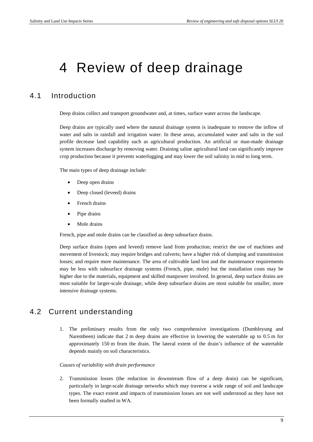# 4 Review of deep drainage

### 4.1 Introduction

Deep drains collect and transport groundwater and, at times, surface water across the landscape.

Deep drains are typically used where the natural drainage system is inadequate to remove the inflow of water and salts in rainfall and irrigation water. In these areas, accumulated water and salts in the soil profile decrease land capability such as agricultural production. An artificial or man-made drainage system increases discharge by removing water. Draining saline agricultural land can significantly improve crop production because it prevents waterlogging and may lower the soil salinity in mid to long term.

The main types of deep drainage include:

- Deep open drains
- Deep closed (leveed) drains
- French drains
- Pipe drains
- Mole drains

French, pipe and mole drains can be classified as deep subsurface drains.

Deep surface drains (open and leveed) remove land from production; restrict the use of machines and movement of livestock; may require bridges and culverts; have a higher risk of slumping and transmission losses; and require more maintenance. The area of cultivable land lost and the maintenance requirements may be less with subsurface drainage systems (French, pipe, mole) but the installation costs may be higher due to the materials, equipment and skilled manpower involved. In general, deep surface drains are most suitable for larger-scale drainage, while deep subsurface drains are most suitable for smaller, more intensive drainage systems.

#### 4.2 Current understanding

1. The preliminary results from the only two comprehensive investigations (Dumbleyung and Narembeen) indicate that 2 m deep drains are effective in lowering the watertable up to 0.5 m for approximately 150 m from the drain. The lateral extent of the drain's influence of the watertable depends mainly on soil characteristics.

#### *Causes of variability with drain performance*

2. Transmission losses (the reduction in downstream flow of a deep drain) can be significant, particularly in large-scale drainage networks which may traverse a wide range of soil and landscape types. The exact extent and impacts of transmission losses are not well understood as they have not been formally studied in WA.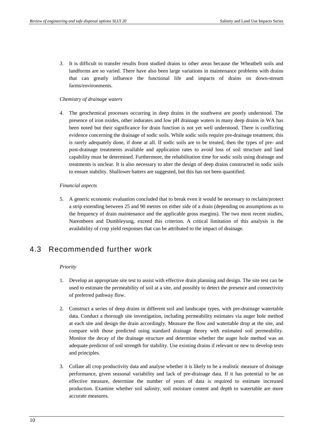*3.* It is difficult to transfer results from studied drains to other areas because the Wheatbelt soils and landforms are so varied. There have also been large variations in maintenance problems with drains that can greatly influence the functional life and impacts of drains on down-stream farms/environments.

#### *Chemistry of drainage waters*

4. The geochemical processes occurring in deep drains in the southwest are poorly understood. The presence of iron oxides, other indurates and low pH drainage waters in many deep drains in WA has been noted but their significance for drain function is not yet well understood. There is conflicting evidence concerning the drainage of sodic soils. While sodic soils require pre-drainage treatment, this is rarely adequately done, if done at all. If sodic soils are to be treated, then the types of pre- and post-drainage treatments available and application rates to avoid loss of soil structure and land capability must be determined. Furthermore, the rehabilitation time for sodic soils using drainage and treatments is unclear. It is also necessary to alter the design of deep drains constructed in sodic soils to ensure stability. Shallower batters are suggested, but this has not been quantified.

#### *Financial aspects*

5. A generic economic evaluation concluded that to break even it would be necessary to reclaim/protect a strip extending between 25 and 90 metres on either side of a drain (depending on assumptions as to the frequency of drain maintenance and the applicable gross margins). The two most recent studies, Narembeen and Dumbleyung, exceed this criterion. A critical limitation of this analysis is the availability of crop yield responses that can be attributed to the impact of drainage.

## 4.3 Recommended further work

#### *Priority*

- 1. Develop an appropriate site test to assist with effective drain planning and design. The site test can be used to estimate the permeability of soil at a site, and possibly to detect the presence and connectivity of preferred pathway flow.
- 2. Construct a series of deep drains in different soil and landscape types, with pre-drainage watertable data. Conduct a thorough site investigation, including permeability estimates via auger hole method at each site and design the drain accordingly. Measure the flow and watertable drop at the site, and compare with those predicted using standard drainage theory with estimated soil permeability. Monitor the decay of the drainage structure and determine whether the auger hole method was an adequate predictor of soil strength for stability. Use existing drains if relevant or new to develop tests and principles.
- 3. Collate all crop productivity data and analyse whether it is likely to be a realistic measure of drainage performance, given seasonal variability and lack of pre-drainage data. If it has potential to be an effective measure, determine the number of years of data is required to estimate increased production. Examine whether soil salinity, soil moisture content and depth to watertable are more accurate measures.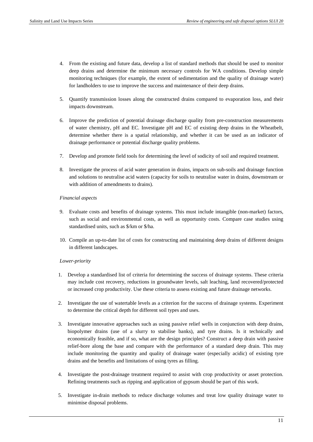- 4. From the existing and future data, develop a list of standard methods that should be used to monitor deep drains and determine the minimum necessary controls for WA conditions. Develop simple monitoring techniques (for example, the extent of sedimentation and the quality of drainage water) for landholders to use to improve the success and maintenance of their deep drains.
- 5. Quantify transmission losses along the constructed drains compared to evaporation loss, and their impacts downstream.
- 6. Improve the prediction of potential drainage discharge quality from pre-construction measurements of water chemistry, pH and EC. Investigate pH and EC of existing deep drains in the Wheatbelt, determine whether there is a spatial relationship, and whether it can be used as an indicator of drainage performance or potential discharge quality problems.
- 7. Develop and promote field tools for determining the level of sodicity of soil and required treatment.
- 8. Investigate the process of acid water generation in drains, impacts on sub-soils and drainage function and solutions to neutralise acid waters (capacity for soils to neutralise water in drains, downstream or with addition of amendments to drains).

#### *Financial aspects*

- 9. Evaluate costs and benefits of drainage systems. This must include intangible (non-market) factors, such as social and environmental costs, as well as opportunity costs. Compare case studies using standardised units, such as \$/km or \$/ha.
- 10. Compile an up-to-date list of costs for constructing and maintaining deep drains of different designs in different landscapes.

#### *Lower-priority*

- 1. Develop a standardised list of criteria for determining the success of drainage systems. These criteria may include cost recovery, reductions in groundwater levels, salt leaching, land recovered/protected or increased crop productivity. Use these criteria to assess existing and future drainage networks.
- 2. Investigate the use of watertable levels as a criterion for the success of drainage systems. Experiment to determine the critical depth for different soil types and uses.
- 3. Investigate innovative approaches such as using passive relief wells in conjunction with deep drains, biopolymer drains (use of a slurry to stabilise banks), and tyre drains. Is it technically and economically feasible, and if so, what are the design principles? Construct a deep drain with passive relief-bore along the base and compare with the performance of a standard deep drain. This may include monitoring the quantity and quality of drainage water (especially acidic) of existing tyre drains and the benefits and limitations of using tyres as filling.
- 4. Investigate the post-drainage treatment required to assist with crop productivity or asset protection. Refining treatments such as ripping and application of gypsum should be part of this work.
- 5. Investigate in-drain methods to reduce discharge volumes and treat low quality drainage water to minimise disposal problems.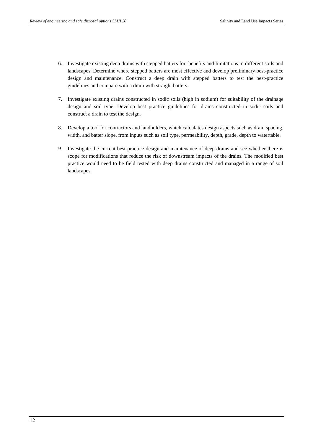- 6. Investigate existing deep drains with stepped batters for benefits and limitations in different soils and landscapes. Determine where stepped batters are most effective and develop preliminary best-practice design and maintenance. Construct a deep drain with stepped batters to test the best-practice guidelines and compare with a drain with straight batters.
- 7. Investigate existing drains constructed in sodic soils (high in sodium) for suitability of the drainage design and soil type. Develop best practice guidelines for drains constructed in sodic soils and construct a drain to test the design.
- 8. Develop a tool for contractors and landholders, which calculates design aspects such as drain spacing, width, and batter slope, from inputs such as soil type, permeability, depth, grade, depth to watertable.
- *9.* Investigate the current best-practice design and maintenance of deep drains and see whether there is scope for modifications that reduce the risk of downstream impacts of the drains. The modified best practice would need to be field tested with deep drains constructed and managed in a range of soil landscapes.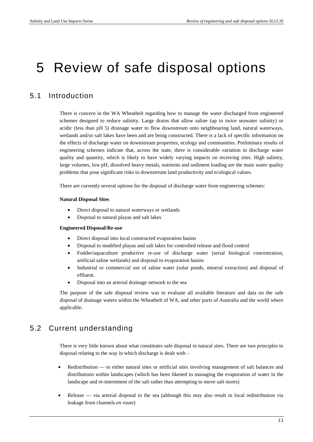## 5 Review of safe disposal options

### 5.1 Introduction

There is concern in the WA Wheatbelt regarding how to manage the water discharged from engineered schemes designed to reduce salinity. Large drains that allow saline (up to twice seawater salinity) or acidic (less than pH 5) drainage water to flow downstream onto neighbouring land, natural waterways, wetlands and/or salt lakes have been and are being constructed. There is a lack of specific information on the effects of discharge water on downstream properties, ecology and communities. Preliminary results of engineering schemes indicate that, across the state, there is considerable variation in discharge water quality and quantity, which is likely to have widely varying impacts on receiving sites. High salinity, large volumes, low pH, dissolved heavy metals, nutrients and sediment loading are the main water quality problems that pose significant risks to downstream land productivity and ecological values.

There are currently several options for the disposal of discharge water from engineering schemes:

#### **Natural Disposal Sites**

- Direct disposal to natural waterways or wetlands
- Disposal to natural playas and salt lakes

#### **Engineered Disposal/Re-use**

- Direct disposal into local constructed evaporation basins
- Disposal to modified playas and salt lakes for controlled release and flood control
- Fodder/aquaculture productive re-use of discharge water (serial biological concentration, artificial saline wetlands) and disposal to evaporation basins
- Industrial or commercial use of saline water (solar ponds, mineral extraction) and disposal of effluent.
- Disposal into an arterial drainage network to the sea

The purpose of the safe disposal review was to evaluate all available literature and data on the safe disposal of drainage waters within the Wheatbelt of WA, and other parts of Australia and the world where applicable.

#### 5.2 Current understanding

There is very little known about what constitutes safe disposal in natural sites. There are two principles to disposal relating to the way in which discharge is dealt with –

- Redistribution to either natural sites or artificial sites involving management of salt balances and distributions within landscapes (which has been likened to managing the evaporation of water in the landscape and re-internment of the salt rather than attempting to move salt stores)
- Release via arterial disposal to the sea (although this may also result in local redistribution via leakage from channels *en route*)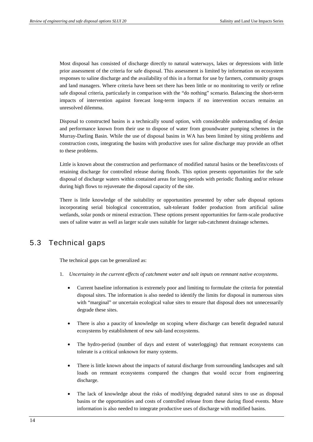Most disposal has consisted of discharge directly to natural waterways, lakes or depressions with little prior assessment of the criteria for safe disposal. This assessment is limited by information on ecosystem responses to saline discharge and the availability of this in a format for use by farmers, community groups and land managers. Where criteria have been set there has been little or no monitoring to verify or refine safe disposal criteria, particularly in comparison with the "do nothing" scenario. Balancing the short-term impacts of intervention against forecast long-term impacts if no intervention occurs remains an unresolved dilemma.

Disposal to constructed basins is a technically sound option, with considerable understanding of design and performance known from their use to dispose of water from groundwater pumping schemes in the Murray-Darling Basin. While the use of disposal basins in WA has been limited by siting problems and construction costs, integrating the basins with productive uses for saline discharge may provide an offset to these problems.

Little is known about the construction and performance of modified natural basins or the benefits/costs of retaining discharge for controlled release during floods. This option presents opportunities for the safe disposal of discharge waters within contained areas for long-periods with periodic flushing and/or release during high flows to rejuvenate the disposal capacity of the site.

There is little knowledge of the suitability or opportunities presented by other safe disposal options incorporating serial biological concentration, salt-tolerant fodder production from artificial saline wetlands, solar ponds or mineral extraction. These options present opportunities for farm-scale productive uses of saline water as well as larger scale uses suitable for larger sub-catchment drainage schemes.

### 5.3 Technical gaps

The technical gaps can be generalized as:

- 1. *Uncertainty in the current effects of catchment water and salt inputs on remnant native ecosystems*.
	- Current baseline information is extremely poor and limiting to formulate the criteria for potential disposal sites. The information is also needed to identify the limits for disposal in numerous sites with "marginal" or uncertain ecological value sites to ensure that disposal does not unnecessarily degrade these sites.
	- There is also a paucity of knowledge on scoping where discharge can benefit degraded natural ecosystems by establishment of new salt-land ecosystems.
	- The hydro-period (number of days and extent of waterlogging) that remnant ecosystems can tolerate is a critical unknown for many systems.
	- There is little known about the impacts of natural discharge from surrounding landscapes and salt loads on remnant ecosystems compared the changes that would occur from engineering discharge.
	- The lack of knowledge about the risks of modifying degraded natural sites to use as disposal basins or the opportunities and costs of controlled release from these during flood events. More information is also needed to integrate productive uses of discharge with modified basins.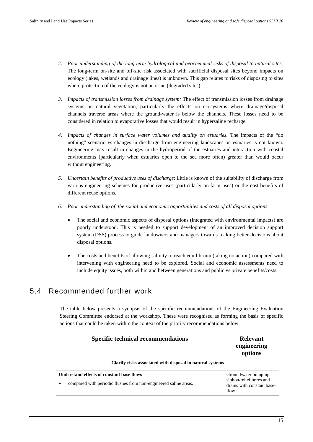- 2. *Poor understanding of the long-term hydrological and geochemical risks of disposal to natural sites:* The long-term on-site and off-site risk associated with sacrificial disposal sites beyond impacts on ecology (lakes, wetlands and drainage lines) is unknown. This gap relates to risks of disposing to sites where protection of the ecology is not an issue (degraded sites).
- *3. Impacts of transmission losses from drainage system:* The effect of transmission losses from drainage systems on natural vegetation, particularly the effects on ecosystems where drainage/disposal channels traverse areas where the ground-water is below the channels. These losses need to be considered in relation to evaporative losses that would result in hypersaline recharge.
- *4. Impacts of changes in surface water volumes and quality on estuaries.* The impacts of the "do nothing" scenario vs changes in discharge from engineering landscapes on estuaries is not known. Engineering may result in changes in the hydroperiod of the estuaries and interaction with coastal environments (particularly when estuaries open to the sea more often) greater than would occur without engineering.
- *5. Uncertain benefits of productive uses of discharge*: Little is known of the suitability of discharge from various engineering schemes for productive uses (particularly on-farm uses) or the cost-benefits of different reuse options.
- *6. Poor understanding of the social and economic opportunities and costs of all disposal options*:
	- The social and economic aspects of disposal options (integrated with environmental impacts) are poorly understood. This is needed to support development of an improved decision support system (DSS) process to guide landowners and managers towards making better decisions about disposal options.
	- The costs and benefits of allowing salinity to reach equilibrium (taking no action) compared with intervening with engineering need to be explored. Social and economic assessments need to include equity issues, both within and between generations and public vs private benefits/costs.

#### 5.4 Recommended further work

The table below presents a synopsis of the specific recommendations of the Engineering Evaluation Steering Committee endorsed at the workshop. These were recognised as forming the basis of specific actions that could be taken within the context of the priority recommendations below.

| <b>Specific technical recommendations</b>                                                                     | <b>Relevant</b><br>engineering<br>options                                             |  |  |  |  |
|---------------------------------------------------------------------------------------------------------------|---------------------------------------------------------------------------------------|--|--|--|--|
| Clarify risks associated with disposal in natural systems                                                     |                                                                                       |  |  |  |  |
| Understand effects of constant base flows<br>compared with periodic flushes from non-engineered saline areas. | Groundwater pumping,<br>siphon/relief bores and<br>drains with constant base-<br>flow |  |  |  |  |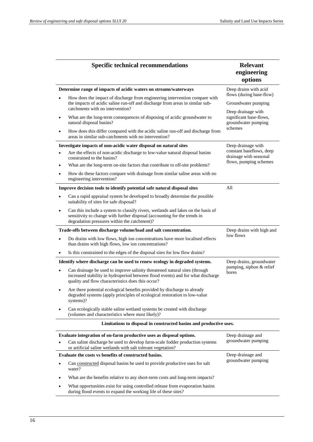|           | <b>Specific technical recommendations</b>                                                                                                                                                                          | <b>Relevant</b><br>engineering<br>options                            |  |
|-----------|--------------------------------------------------------------------------------------------------------------------------------------------------------------------------------------------------------------------|----------------------------------------------------------------------|--|
|           | Determine range of impacts of acidic waters on streams/waterways                                                                                                                                                   | Deep drains with acid                                                |  |
|           | How does the impact of discharge from engineering intervention compare with<br>the impacts of acidic saline run-off and discharge from areas in similar sub-<br>catchments with no intervention?                   | flows (during base-flow)<br>Groundwater pumping                      |  |
| $\bullet$ | What are the long-term consequences of disposing of acidic groundwater to<br>natural disposal basins?                                                                                                              | Deep drainage with<br>significant base-flows,<br>groundwater pumping |  |
| $\bullet$ | How does this differ compared with the acidic saline run-off and discharge from<br>areas in similar sub-catchments with no intervention?                                                                           | schemes                                                              |  |
|           | Investigate impacts of non-acidic water disposal on natural sites                                                                                                                                                  | Deep drainage with                                                   |  |
| ٠         | Are the effects of non-acidic discharge to low-value natural disposal basins<br>constrained to the basins?                                                                                                         | constant baseflows, deep<br>drainage with seasonal                   |  |
| $\bullet$ | What are the long-term on-site factors that contribute to off-site problems?                                                                                                                                       | flows, pumping schemes                                               |  |
| $\bullet$ | How do these factors compare with drainage from similar saline areas with no<br>engineering intervention?                                                                                                          |                                                                      |  |
|           | Improve decision tools to identify potential safe natural disposal sites                                                                                                                                           | All                                                                  |  |
| ٠         | Can a rapid appraisal system be developed to broadly determine the possible<br>suitability of sites for safe disposal?                                                                                             |                                                                      |  |
| $\bullet$ | Can this include a system to classify rivers, wetlands and lakes on the basis of<br>sensitivity to change with further disposal (accounting for the trends in<br>degradation pressures within the catchment)?      |                                                                      |  |
|           | Trade-offs between discharge volume/load and salt concentration.                                                                                                                                                   | Deep drains with high and                                            |  |
| ٠         | Do drains with low flows, high ion concentrations have more localised effects<br>than drains with high flows, low ion concentrations?                                                                              | low flows                                                            |  |
| $\bullet$ | Is this constrained to the edges of the disposal sites for low flow drains?                                                                                                                                        |                                                                      |  |
|           | Identify where discharge can be used to renew ecology in degraded systems.                                                                                                                                         | Deep drains, groundwater                                             |  |
| ٠         | Can drainage be used to improve salinity threatened natural sites (through<br>increased stability in hydroperiod between flood events) and for what discharge<br>quality and flow characteristics does this occur? | pumping, siphon & relief<br>bores                                    |  |
|           | Are there potential ecological benefits provided by discharge to already<br>degraded systems (apply principles of ecological restoration to low-value<br>systems)?                                                 |                                                                      |  |
|           | Can ecologically stable saline wetland systems be created with discharge<br>(volumes and characteristics where most likely)?                                                                                       |                                                                      |  |
|           | Limitations to disposal in constructed basins and productive uses.                                                                                                                                                 |                                                                      |  |
|           | Evaluate integration of on-farm productive uses as disposal options.                                                                                                                                               | Deep drainage and                                                    |  |
| $\bullet$ | Can saline discharge be used to develop farm-scale fodder production systems<br>or artificial saline wetlands with salt tolerant vegetation?                                                                       | groundwater pumping                                                  |  |
|           | Evaluate the costs vs benefits of constructed basins.                                                                                                                                                              | Deep drainage and<br>groundwater pumping                             |  |
|           | Can constructed disposal basins be used to provide productive uses for salt<br>water?                                                                                                                              |                                                                      |  |
|           | What are the benefits relative to any short-term costs and long-term impacts?                                                                                                                                      |                                                                      |  |
| $\bullet$ | What opportunities exist for using controlled release from evaporation basins<br>during flood events to expand the working life of these sites?                                                                    |                                                                      |  |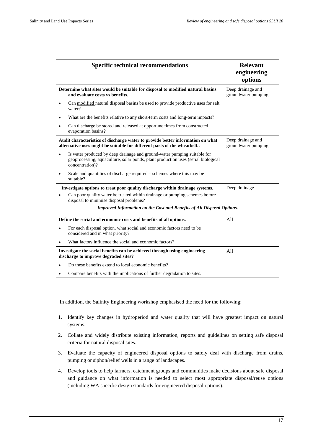|   | <b>Specific technical recommendations</b>                                                                                                                                        | <b>Relevant</b><br>engineering<br>options |
|---|----------------------------------------------------------------------------------------------------------------------------------------------------------------------------------|-------------------------------------------|
|   | Determine what sites would be suitable for disposal to modified natural basins<br>and evaluate costs vs benefits.                                                                | Deep drainage and<br>groundwater pumping  |
| ٠ | Can modified natural disposal basins be used to provide productive uses for salt<br>water?                                                                                       |                                           |
|   | What are the benefits relative to any short-term costs and long-term impacts?                                                                                                    |                                           |
| ٠ | Can discharge be stored and released at opportune times from constructed<br>evaporation basins?                                                                                  |                                           |
|   | Audit characteristics of discharge water to provide better information on what<br>alternative uses might be suitable for different parts of the wheatbelt                        | Deep drainage and<br>groundwater pumping  |
|   | Is water produced by deep drainage and ground-water pumping suitable for<br>geoprocessing, aquaculture, solar ponds, plant production uses (serial biological<br>concentration)? |                                           |
|   | Scale and quantities of discharge required – schemes where this may be<br>suitable?                                                                                              |                                           |
|   | Investigate options to treat poor quality discharge within drainage systems.                                                                                                     | Deep drainage                             |
|   | Can poor quality water be treated within drainage or pumping schemes before<br>disposal to minimise disposal problems?                                                           |                                           |
|   | Improved Information on the Cost and Benefits of All Disposal Options.                                                                                                           |                                           |
|   | Define the social and economic costs and benefits of all options.                                                                                                                | A11                                       |
|   | For each disposal option, what social and economic factors need to be<br>considered and in what priority?                                                                        |                                           |
|   | What factors influence the social and economic factors?                                                                                                                          |                                           |
|   | Investigate the social benefits can be achieved through using engineering<br>discharge to improve degraded sites?                                                                | A11                                       |
|   | Do these benefits extend to local economic benefits?                                                                                                                             |                                           |
|   | Compare benefits with the implications of further degradation to sites.                                                                                                          |                                           |

In addition, the Salinity Engineering workshop emphasised the need for the following:

- 1. Identify key changes in hydroperiod and water quality that will have greatest impact on natural systems.
- 2. Collate and widely distribute existing information, reports and guidelines on setting safe disposal criteria for natural disposal sites.
- 3. Evaluate the capacity of engineered disposal options to safely deal with discharge from drains, pumping or siphon/relief wells in a range of landscapes.
- 4. Develop tools to help farmers, catchment groups and communities make decisions about safe disposal and guidance on what information is needed to select most appropriate disposal/reuse options (including WA specific design standards for engineered disposal options).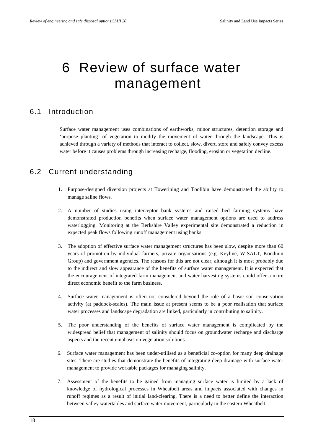## 6 Review of surface water management

### 6.1 Introduction

Surface water management uses combinations of earthworks, minor structures, detention storage and 'purpose planting' of vegetation to modify the movement of water through the landscape. This is achieved through a variety of methods that interact to collect, slow, divert, store and safely convey excess water before it causes problems through increasing recharge, flooding, erosion or vegetation decline.

### 6.2 Current understanding

- 1. Purpose-designed diversion projects at Towerining and Toolibin have demonstrated the ability to manage saline flows.
- 2. A number of studies using interceptor bank systems and raised bed farming systems have demonstrated production benefits when surface water management options are used to address waterlogging. Monitoring at the Berkshire Valley experimental site demonstrated a reduction in expected peak flows following runoff management using banks.
- 3. The adoption of effective surface water management structures has been slow, despite more than 60 years of promotion by individual farmers, private organisations (e.g. Keyline, WISALT, Kondinin Group) and government agencies. The reasons for this are not clear, although it is most probably due to the indirect and slow appearance of the benefits of surface water management. It is expected that the encouragement of integrated farm management and water harvesting systems could offer a more direct economic benefit to the farm business.
- 4. Surface water management is often not considered beyond the role of a basic soil conservation activity (at paddock-scales). The main issue at present seems to be a poor realisation that surface water processes and landscape degradation are linked, particularly in contributing to salinity.
- 5. The poor understanding of the benefits of surface water management is complicated by the widespread belief that management of salinity should focus on groundwater recharge and discharge aspects and the recent emphasis on vegetation solutions.
- 6. Surface water management has been under-utilised as a beneficial co-option for many deep drainage sites. There are studies that demonstrate the benefits of integrating deep drainage with surface water management to provide workable packages for managing salinity.
- 7. Assessment of the benefits to be gained from managing surface water is limited by a lack of knowledge of hydrological processes in Wheatbelt areas and impacts associated with changes in runoff regimes as a result of initial land-clearing. There is a need to better define the interaction between valley watertables and surface water movement, particularly in the eastern Wheatbelt.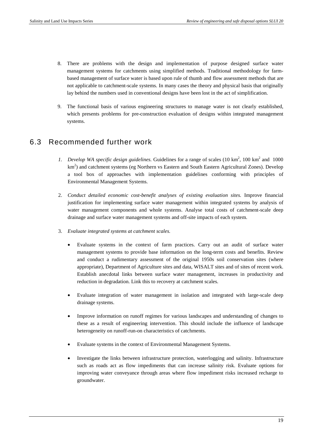- 8. There are problems with the design and implementation of purpose designed surface water management systems for catchments using simplified methods. Traditional methodology for farmbased management of surface water is based upon rule of thumb and flow assessment methods that are not applicable to catchment-scale systems. In many cases the theory and physical basis that originally lay behind the numbers used in conventional designs have been lost in the act of simplification.
- 9. The functional basis of various engineering structures to manage water is not clearly established, which presents problems for pre-construction evaluation of designs within integrated management systems.

#### 6.3 Recommended further work

- 1. Develop WA specific design guidelines. Guidelines for a range of scales  $(10 \text{ km}^2, 100 \text{ km}^2 \text{ and } 1000 \text{ m}^2)$ km<sup>2</sup>) and catchment systems (eg Northern vs Eastern and South Eastern Agricultural Zones). Develop a tool box of approaches with implementation guidelines conforming with principles of Environmental Management Systems.
- 2. *Conduct detailed economic cost-benefit analyses of existing evaluation sites.* Improve financial justification for implementing surface water management within integrated systems by analysis of water management components and whole systems. Analyse total costs of catchment-scale deep drainage and surface water management systems and off-site impacts of each system.
- 3. *Evaluate integrated systems at catchment scales.*
	- Evaluate systems in the context of farm practices. Carry out an audit of surface water management systems to provide base information on the long-term costs and benefits. Review and conduct a rudimentary assessment of the original 1950s soil conservation sites (where appropriate), Department of Agriculture sites and data, WISALT sites and of sites of recent work. Establish anecdotal links between surface water management, increases in productivity and reduction in degradation. Link this to recovery at catchment scales.
	- Evaluate integration of water management in isolation and integrated with large-scale deep drainage systems.
	- Improve information on runoff regimes for various landscapes and understanding of changes to these as a result of engineering intervention. This should include the influence of landscape heterogeneity on runoff-run-on characteristics of catchments.
	- Evaluate systems in the context of Environmental Management Systems.
	- Investigate the links between infrastructure protection, waterlogging and salinity. Infrastructure such as roads act as flow impediments that can increase salinity risk. Evaluate options for improving water conveyance through areas where flow impediment risks increased recharge to groundwater.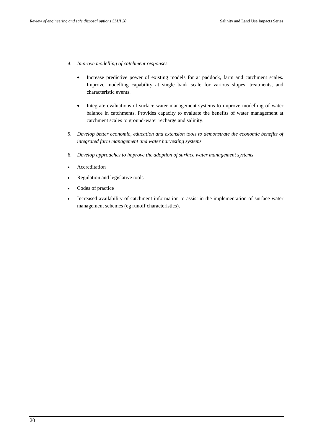- *4. Improve modelling of catchment responses*
	- Increase predictive power of existing models for at paddock, farm and catchment scales. Improve modelling capability at single bank scale for various slopes, treatments, and characteristic events.
	- Integrate evaluations of surface water management systems to improve modelling of water balance in catchments. Provides capacity to evaluate the benefits of water management at catchment scales to ground-water recharge and salinity.
- *5. Develop better economic, education and extension tools to demonstrate the economic benefits of integrated farm management and water harvesting systems.*
- 6. *Develop approaches to improve the adoption of surface water management systems*
- Accreditation
- Regulation and legislative tools
- Codes of practice
- Increased availability of catchment information to assist in the implementation of surface water management schemes (eg runoff characteristics).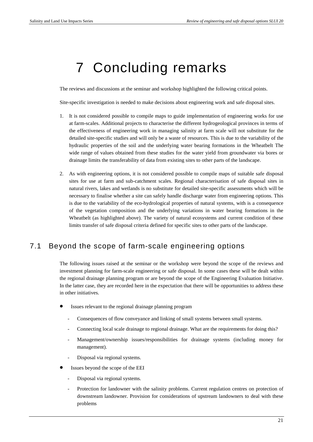# 7 Concluding remarks

The reviews and discussions at the seminar and workshop highlighted the following critical points.

Site-specific investigation is needed to make decisions about engineering work and safe disposal sites.

- 1. It is not considered possible to compile maps to guide implementation of engineering works for use at farm-scales. Additional projects to characterise the different hydrogeological provinces in terms of the effectiveness of engineering work in managing salinity at farm scale will not substitute for the detailed site-specific studies and will only be a waste of resources. This is due to the variability of the hydraulic properties of the soil and the underlying water bearing formations in the Wheatbelt The wide range of values obtained from these studies for the water yield from groundwater via bores or drainage limits the transferability of data from existing sites to other parts of the landscape.
- 2. As with engineering options, it is not considered possible to compile maps of suitable safe disposal sites for use at farm and sub-catchment scales. Regional characterisation of safe disposal sites in natural rivers, lakes and wetlands is no substitute for detailed site-specific assessments which will be necessary to finalise whether a site can safely handle discharge water from engineering options. This is due to the variability of the eco-hydrological properties of natural systems, with is a consequence of the vegetation composition and the underlying variations in water bearing formations in the Wheatbelt (as highlighted above). The variety of natural ecosystems and current condition of these limits transfer of safe disposal criteria defined for specific sites to other parts of the landscape.

### 7.1 Beyond the scope of farm-scale engineering options

The following issues raised at the seminar or the workshop were beyond the scope of the reviews and investment planning for farm-scale engineering or safe disposal. In some cases these will be dealt within the regional drainage planning program or are beyond the scope of the Engineering Evaluation Initiative. In the latter case, they are recorded here in the expectation that there will be opportunities to address these in other initiatives.

- Issues relevant to the regional drainage planning program
	- Consequences of flow conveyance and linking of small systems between small systems.
	- Connecting local scale drainage to regional drainage. What are the requirements for doing this?
	- Management/ownership issues/responsibilities for drainage systems (including money for management).
	- Disposal via regional systems.
- Issues beyond the scope of the EEI
	- Disposal via regional systems.
	- Protection for landowner with the salinity problems. Current regulation centres on protection of downstream landowner. Provision for considerations of upstream landowners to deal with these problems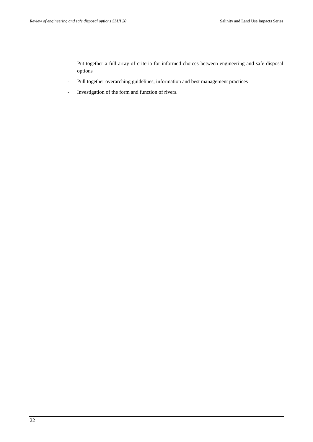- Put together a full array of criteria for informed choices between engineering and safe disposal options
- Pull together overarching guidelines, information and best management practices
- Investigation of the form and function of rivers.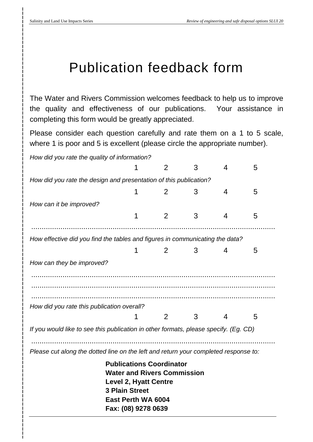## Publication feedback form

The Water and Rivers Commission welcomes feedback to help us to improve the quality and effectiveness of our publications. Your assistance in completing this form would be greatly appreciated.

Please consider each question carefully and rate them on a 1 to 5 scale, where 1 is poor and 5 is excellent (please circle the appropriate number).

*How did you rate the quality of information?*

|                                                                                      |                                                                                                                                                                             | 2 | 3 | 4 | 5 |
|--------------------------------------------------------------------------------------|-----------------------------------------------------------------------------------------------------------------------------------------------------------------------------|---|---|---|---|
| How did you rate the design and presentation of this publication?                    |                                                                                                                                                                             |   |   |   |   |
|                                                                                      | 1                                                                                                                                                                           | 2 | 3 | 4 | 5 |
| How can it be improved?                                                              |                                                                                                                                                                             |   |   |   |   |
|                                                                                      | 1                                                                                                                                                                           | 2 | 3 | 4 | 5 |
|                                                                                      |                                                                                                                                                                             |   |   |   |   |
| How effective did you find the tables and figures in communicating the data?         |                                                                                                                                                                             |   |   |   |   |
|                                                                                      | 1                                                                                                                                                                           | 2 | 3 | 4 | 5 |
| How can they be improved?                                                            |                                                                                                                                                                             |   |   |   |   |
|                                                                                      |                                                                                                                                                                             |   |   |   |   |
|                                                                                      |                                                                                                                                                                             |   |   |   |   |
|                                                                                      |                                                                                                                                                                             |   |   |   |   |
| How did you rate this publication overall?                                           |                                                                                                                                                                             |   |   |   |   |
|                                                                                      | 1                                                                                                                                                                           | 2 | 3 | 4 | 5 |
| If you would like to see this publication in other formats, please specify. (Eg. CD) |                                                                                                                                                                             |   |   |   |   |
|                                                                                      |                                                                                                                                                                             |   |   |   |   |
| Please cut along the dotted line on the left and return your completed response to:  |                                                                                                                                                                             |   |   |   |   |
|                                                                                      | <b>Publications Coordinator</b><br><b>Water and Rivers Commission</b><br><b>Level 2, Hyatt Centre</b><br><b>3 Plain Street</b><br>East Perth WA 6004<br>Fax: (08) 9278 0639 |   |   |   |   |